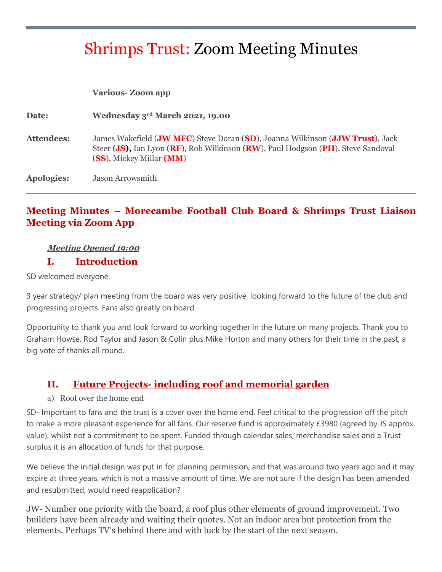# Shrimps Trust: Zoom Meeting Minutes

|                   | <b>Various-Zoom app</b>                                                                                                                                                                       |
|-------------------|-----------------------------------------------------------------------------------------------------------------------------------------------------------------------------------------------|
| <b>Date:</b>      | Wednesday 3rd March 2021, 19.00                                                                                                                                                               |
| <b>Attendees:</b> | James Wakefield (JW MFC) Steve Doran (SD), Joanna Wilkinson (JJW Trust), Jack<br>Steer (JS), Ian Lyon (RF), Rob Wilkinson (RW), Paul Hodgson (PH), Steve Sandoval<br>(SS), Mickey Millar (MM) |
| <b>Apologies:</b> | Jason Arrowsmith                                                                                                                                                                              |

#### **Meeting Minutes – Morecambe Football Club Board & Shrimps Trust Liaison Meeting via Zoom App**

#### **Meeting Opened 19:00**

#### **I. Introduction**

SD welcomed everyone.

3 year strategy/ plan meeting from the board was very positive, looking forward to the future of the club and progressing projects. Fans also greatly on board.

Opportunity to thank you and look forward to working together in the future on many projects. Thank you to Graham Howse, Rod Taylor and Jason & Colin plus Mike Horton and many others for their time in the past, a big vote of thanks all round.

#### **II. Future Projects- including roof and memorial garden**

#### a) Roof over the home end

SD- Important to fans and the trust is a cover over the home end. Feel critical to the progression off the pitch to make a more pleasant experience for all fans. Our reserve fund is approximately £3980 (agreed by JS approx. value), whilst not a commitment to be spent. Funded through calendar sales, merchandise sales and a Trust surplus it is an allocation of funds for that purpose.

We believe the initial design was put in for planning permission, and that was around two years ago and it may expire at three years, which is not a massive amount of time. We are not sure if the design has been amended and resubmitted, would need reapplication?

JW- Number one priority with the board, a roof plus other elements of ground improvement. Two builders have been already and waiting their quotes. Not an indoor area but protection from the elements. Perhaps TV's behind there and with luck by the start of the next season.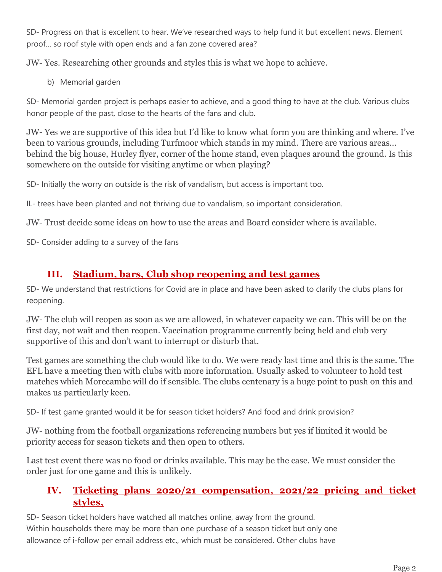SD- Progress on that is excellent to hear. We've researched ways to help fund it but excellent news. Element proof… so roof style with open ends and a fan zone covered area?

JW- Yes. Researching other grounds and styles this is what we hope to achieve.

b) Memorial garden

SD- Memorial garden project is perhaps easier to achieve, and a good thing to have at the club. Various clubs honor people of the past, close to the hearts of the fans and club.

JW- Yes we are supportive of this idea but I'd like to know what form you are thinking and where. I've been to various grounds, including Turfmoor which stands in my mind. There are various areas… behind the big house, Hurley flyer, corner of the home stand, even plaques around the ground. Is this somewhere on the outside for visiting anytime or when playing?

SD- Initially the worry on outside is the risk of vandalism, but access is important too.

IL- trees have been planted and not thriving due to vandalism, so important consideration.

JW- Trust decide some ideas on how to use the areas and Board consider where is available.

SD- Consider adding to a survey of the fans

# **III. Stadium, bars, Club shop reopening and test games**

SD- We understand that restrictions for Covid are in place and have been asked to clarify the clubs plans for reopening.

JW- The club will reopen as soon as we are allowed, in whatever capacity we can. This will be on the first day, not wait and then reopen. Vaccination programme currently being held and club very supportive of this and don't want to interrupt or disturb that.

Test games are something the club would like to do. We were ready last time and this is the same. The EFL have a meeting then with clubs with more information. Usually asked to volunteer to hold test matches which Morecambe will do if sensible. The clubs centenary is a huge point to push on this and makes us particularly keen.

SD- If test game granted would it be for season ticket holders? And food and drink provision?

JW- nothing from the football organizations referencing numbers but yes if limited it would be priority access for season tickets and then open to others.

Last test event there was no food or drinks available. This may be the case. We must consider the order just for one game and this is unlikely.

## **IV. Ticketing plans 2020/21 compensation, 2021/22 pricing and ticket styles,**

SD- Season ticket holders have watched all matches online, away from the ground. Within households there may be more than one purchase of a season ticket but only one allowance of i-follow per email address etc., which must be considered. Other clubs have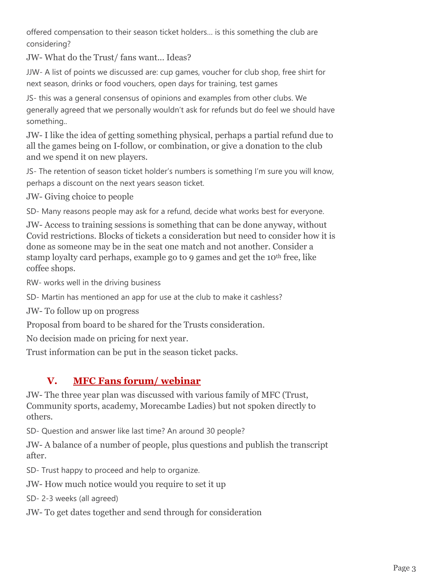offered compensation to their season ticket holders… is this something the club are considering?

JW- What do the Trust/ fans want... Ideas?

JJW- A list of points we discussed are: cup games, voucher for club shop, free shirt for next season, drinks or food vouchers, open days for training, test games

JS- this was a general consensus of opinions and examples from other clubs. We generally agreed that we personally wouldn't ask for refunds but do feel we should have something..

JW- I like the idea of getting something physical, perhaps a partial refund due to all the games being on I-follow, or combination, or give a donation to the club and we spend it on new players.

JS- The retention of season ticket holder's numbers is something I'm sure you will know, perhaps a discount on the next years season ticket.

JW- Giving choice to people

SD- Many reasons people may ask for a refund, decide what works best for everyone.

JW- Access to training sessions is something that can be done anyway, without Covid restrictions. Blocks of tickets a consideration but need to consider how it is done as someone may be in the seat one match and not another. Consider a stamp loyalty card perhaps, example go to 9 games and get the 10<sup>th</sup> free, like coffee shops.

RW- works well in the driving business

SD- Martin has mentioned an app for use at the club to make it cashless?

JW- To follow up on progress

Proposal from board to be shared for the Trusts consideration.

No decision made on pricing for next year.

Trust information can be put in the season ticket packs.

# **V. MFC Fans forum/ webinar**

JW- The three year plan was discussed with various family of MFC (Trust, Community sports, academy, Morecambe Ladies) but not spoken directly to others.

SD- Question and answer like last time? An around 30 people?

JW- A balance of a number of people, plus questions and publish the transcript after.

SD- Trust happy to proceed and help to organize.

JW- How much notice would you require to set it up

SD- 2-3 weeks (all agreed)

JW- To get dates together and send through for consideration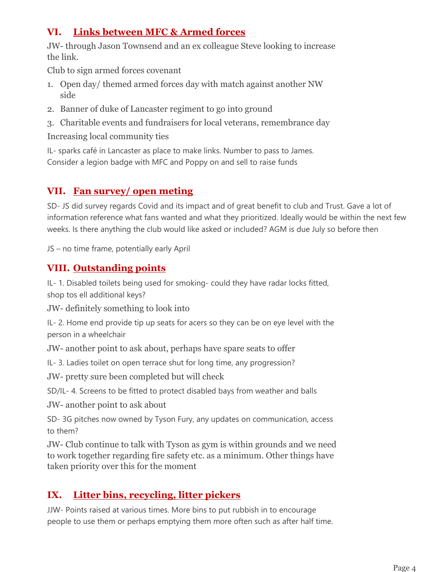# **VI. Links between MFC & Armed forces**

JW- through Jason Townsend and an ex colleague Steve looking to increase the link.

Club to sign armed forces covenant

- 1. Open day/ themed armed forces day with match against another NW side
- 2. Banner of duke of Lancaster regiment to go into ground
- 3. Charitable events and fundraisers for local veterans, remembrance day

Increasing local community ties

IL- sparks café in Lancaster as place to make links. Number to pass to James. Consider a legion badge with MFC and Poppy on and sell to raise funds

#### **VII. Fan survey/ open meting**

SD- JS did survey regards Covid and its impact and of great benefit to club and Trust. Gave a lot of information reference what fans wanted and what they prioritized. Ideally would be within the next few weeks. Is there anything the club would like asked or included? AGM is due July so before then

JS – no time frame, potentially early April

#### **VIII. Outstanding points**

IL- 1. Disabled toilets being used for smoking- could they have radar locks fitted, shop tos ell additional keys?

JW- definitely something to look into

IL- 2. Home end provide tip up seats for acers so they can be on eye level with the person in a wheelchair

JW- another point to ask about, perhaps have spare seats to offer

IL- 3. Ladies toilet on open terrace shut for long time, any progression?

JW- pretty sure been completed but will check

SD/IL- 4. Screens to be fitted to protect disabled bays from weather and balls

JW- another point to ask about

SD- 3G pitches now owned by Tyson Fury, any updates on communication, access to them?

JW- Club continue to talk with Tyson as gym is within grounds and we need to work together regarding fire safety etc. as a minimum. Other things have taken priority over this for the moment

# **IX. Litter bins, recycling, litter pickers**

JJW- Points raised at various times. More bins to put rubbish in to encourage people to use them or perhaps emptying them more often such as after half time.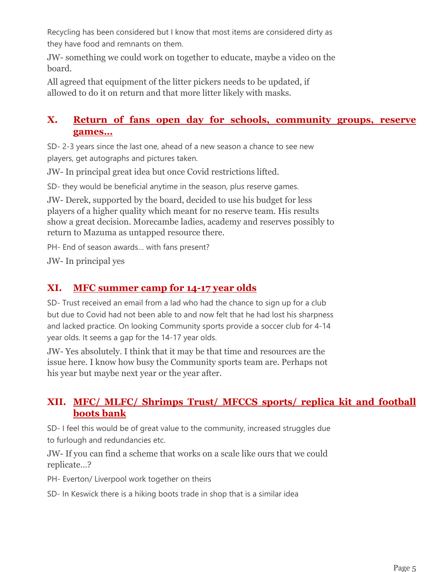Recycling has been considered but I know that most items are considered dirty as they have food and remnants on them.

JW- something we could work on together to educate, maybe a video on the board.

All agreed that equipment of the litter pickers needs to be updated, if allowed to do it on return and that more litter likely with masks.

#### **X. Return of fans open day for schools, community groups, reserve games…**

SD- 2-3 years since the last one, ahead of a new season a chance to see new players, get autographs and pictures taken.

JW- In principal great idea but once Covid restrictions lifted.

SD- they would be beneficial anytime in the season, plus reserve games.

JW- Derek, supported by the board, decided to use his budget for less players of a higher quality which meant for no reserve team. His results show a great decision. Morecambe ladies, academy and reserves possibly to return to Mazuma as untapped resource there.

PH- End of season awards… with fans present?

JW- In principal yes

#### **XI. MFC summer camp for 14-17 year olds**

SD- Trust received an email from a lad who had the chance to sign up for a club but due to Covid had not been able to and now felt that he had lost his sharpness and lacked practice. On looking Community sports provide a soccer club for 4-14 year olds. It seems a gap for the 14-17 year olds.

JW- Yes absolutely. I think that it may be that time and resources are the issue here. I know how busy the Community sports team are. Perhaps not his year but maybe next year or the year after.

#### **XII. MFC/ MLFC/ Shrimps Trust/ MFCCS sports/ replica kit and football boots bank**

SD- I feel this would be of great value to the community, increased struggles due to furlough and redundancies etc.

JW- If you can find a scheme that works on a scale like ours that we could replicate…?

PH- Everton/ Liverpool work together on theirs

SD- In Keswick there is a hiking boots trade in shop that is a similar idea